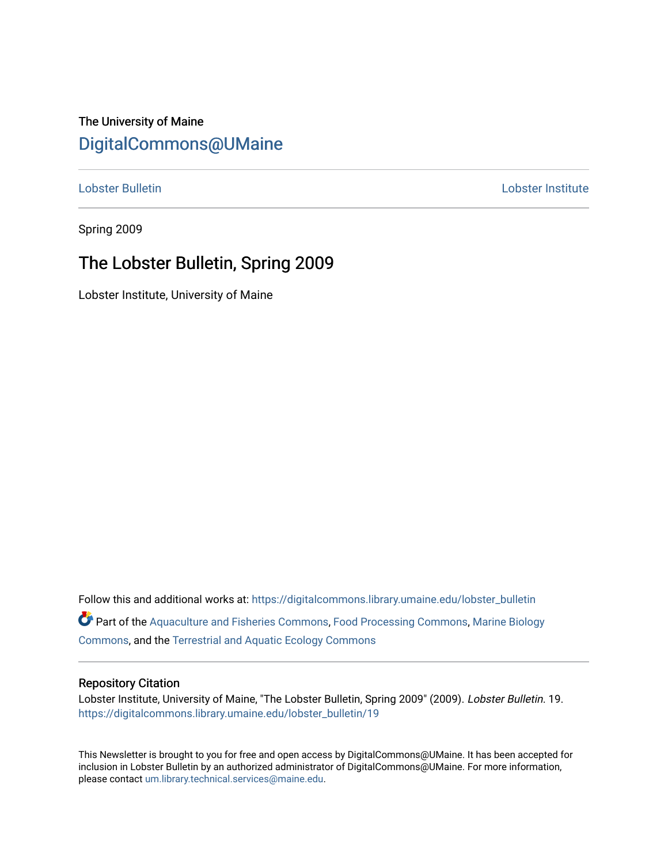## The University of Maine [DigitalCommons@UMaine](https://digitalcommons.library.umaine.edu/)

[Lobster Bulletin](https://digitalcommons.library.umaine.edu/lobster_bulletin) [Lobster Institute](https://digitalcommons.library.umaine.edu/lobster) 

Spring 2009

## The Lobster Bulletin, Spring 2009

Lobster Institute, University of Maine

Follow this and additional works at: [https://digitalcommons.library.umaine.edu/lobster\\_bulletin](https://digitalcommons.library.umaine.edu/lobster_bulletin?utm_source=digitalcommons.library.umaine.edu%2Flobster_bulletin%2F19&utm_medium=PDF&utm_campaign=PDFCoverPages) Part of the [Aquaculture and Fisheries Commons](http://network.bepress.com/hgg/discipline/78?utm_source=digitalcommons.library.umaine.edu%2Flobster_bulletin%2F19&utm_medium=PDF&utm_campaign=PDFCoverPages), [Food Processing Commons,](http://network.bepress.com/hgg/discipline/85?utm_source=digitalcommons.library.umaine.edu%2Flobster_bulletin%2F19&utm_medium=PDF&utm_campaign=PDFCoverPages) [Marine Biology](http://network.bepress.com/hgg/discipline/1126?utm_source=digitalcommons.library.umaine.edu%2Flobster_bulletin%2F19&utm_medium=PDF&utm_campaign=PDFCoverPages) [Commons](http://network.bepress.com/hgg/discipline/1126?utm_source=digitalcommons.library.umaine.edu%2Flobster_bulletin%2F19&utm_medium=PDF&utm_campaign=PDFCoverPages), and the [Terrestrial and Aquatic Ecology Commons](http://network.bepress.com/hgg/discipline/20?utm_source=digitalcommons.library.umaine.edu%2Flobster_bulletin%2F19&utm_medium=PDF&utm_campaign=PDFCoverPages) 

#### Repository Citation

Lobster Institute, University of Maine, "The Lobster Bulletin, Spring 2009" (2009). Lobster Bulletin. 19. [https://digitalcommons.library.umaine.edu/lobster\\_bulletin/19](https://digitalcommons.library.umaine.edu/lobster_bulletin/19?utm_source=digitalcommons.library.umaine.edu%2Flobster_bulletin%2F19&utm_medium=PDF&utm_campaign=PDFCoverPages) 

This Newsletter is brought to you for free and open access by DigitalCommons@UMaine. It has been accepted for inclusion in Lobster Bulletin by an authorized administrator of DigitalCommons@UMaine. For more information, please contact [um.library.technical.services@maine.edu.](mailto:um.library.technical.services@maine.edu)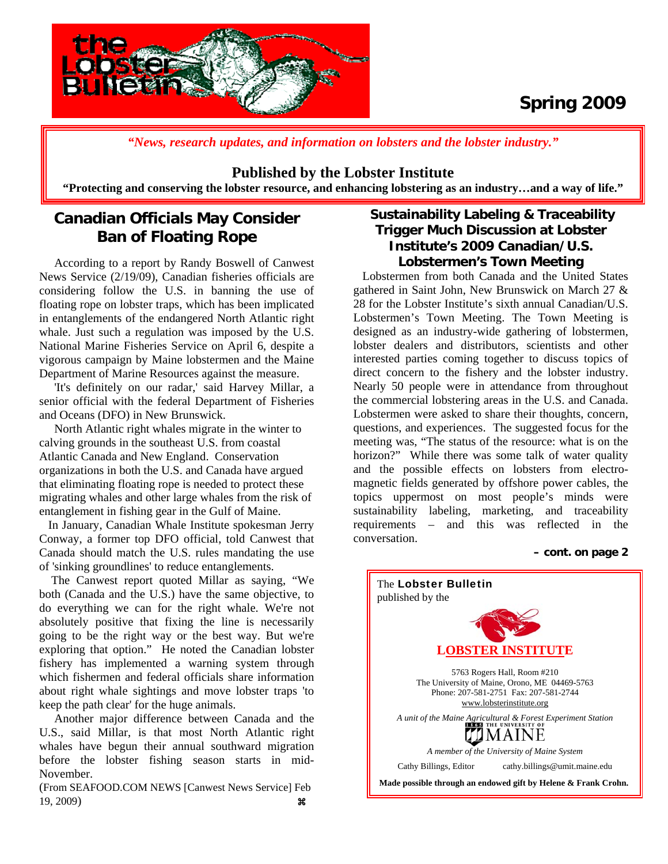

## **Spring 2009**

*"News, research updates, and information on lobsters and the lobster industry."*

## **Published by the Lobster Institute**

**"Protecting and conserving the lobster resource, and enhancing lobstering as an industry…and a way of life."** 

## **Canadian Officials May Consider Ban of Floating Rope**

 According to a report by Randy Boswell of Canwest News Service (2/19/09), Canadian fisheries officials are considering follow the U.S. in banning the use of floating rope on lobster traps, which has been implicated in entanglements of the endangered North Atlantic right whale. Just such a regulation was imposed by the U.S. National Marine Fisheries Service on April 6, despite a vigorous campaign by Maine lobstermen and the Maine Department of Marine Resources against the measure.

 'It's definitely on our radar,' said Harvey Millar, a senior official with the federal Department of Fisheries and Oceans (DFO) in New Brunswick.

 North Atlantic right whales migrate in the winter to calving grounds in the southeast U.S. from coastal Atlantic Canada and New England. Conservation organizations in both the U.S. and Canada have argued that eliminating floating rope is needed to protect these migrating whales and other large whales from the risk of entanglement in fishing gear in the Gulf of Maine.

 In January, Canadian Whale Institute spokesman Jerry Conway, a former top DFO official, told Canwest that Canada should match the U.S. rules mandating the use of 'sinking groundlines' to reduce entanglements.

 The Canwest report quoted Millar as saying, "We both (Canada and the U.S.) have the same objective, to do everything we can for the right whale. We're not absolutely positive that fixing the line is necessarily going to be the right way or the best way. But we're exploring that option." He noted the Canadian lobster fishery has implemented a warning system through which fishermen and federal officials share information about right whale sightings and move lobster traps 'to keep the path clear' for the huge animals.

 Another major difference between Canada and the U.S., said Millar, is that most North Atlantic right whales have begun their annual southward migration before the lobster fishing season starts in mid-November.

(From SEAFOOD.COM NEWS [Canwest News Service] Feb 19, 2009) **as a set of the set of the set of the set of the set of the set of the set of the set of the set of the set of the set of the set of the set of the set of the set of the set of the set of the set of the set of t** 

#### **Sustainability Labeling & Traceability Trigger Much Discussion at Lobster Institute's 2009 Canadian/U.S. Lobstermen's Town Meeting**

 Lobstermen from both Canada and the United States gathered in Saint John, New Brunswick on March 27 & 28 for the Lobster Institute's sixth annual Canadian/U.S. Lobstermen's Town Meeting. The Town Meeting is designed as an industry-wide gathering of lobstermen, lobster dealers and distributors, scientists and other interested parties coming together to discuss topics of direct concern to the fishery and the lobster industry. Nearly 50 people were in attendance from throughout the commercial lobstering areas in the U.S. and Canada. Lobstermen were asked to share their thoughts, concern, questions, and experiences. The suggested focus for the meeting was, "The status of the resource: what is on the horizon?" While there was some talk of water quality and the possible effects on lobsters from electromagnetic fields generated by offshore power cables, the topics uppermost on most people's minds were sustainability labeling, marketing, and traceability requirements – and this was reflected in the conversation.

#### **– cont. on page 2**

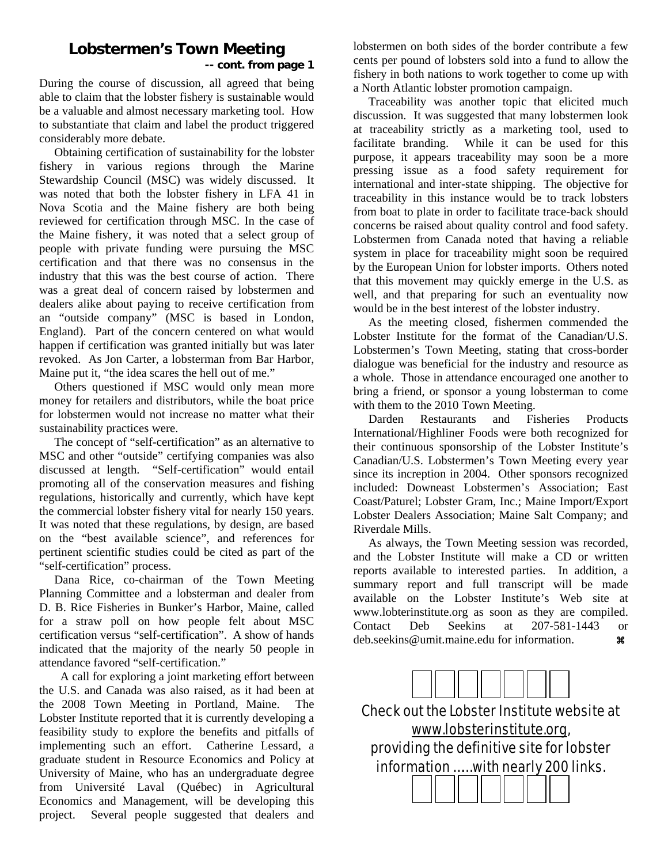### **Lobstermen's Town Meeting -- cont. from page 1**

During the course of discussion, all agreed that being able to claim that the lobster fishery is sustainable would be a valuable and almost necessary marketing tool. How to substantiate that claim and label the product triggered considerably more debate.

 Obtaining certification of sustainability for the lobster fishery in various regions through the Marine Stewardship Council (MSC) was widely discussed. It was noted that both the lobster fishery in LFA 41 in Nova Scotia and the Maine fishery are both being reviewed for certification through MSC. In the case of the Maine fishery, it was noted that a select group of people with private funding were pursuing the MSC certification and that there was no consensus in the industry that this was the best course of action. There was a great deal of concern raised by lobstermen and dealers alike about paying to receive certification from an "outside company" (MSC is based in London, England). Part of the concern centered on what would happen if certification was granted initially but was later revoked. As Jon Carter, a lobsterman from Bar Harbor, Maine put it, "the idea scares the hell out of me."

 Others questioned if MSC would only mean more money for retailers and distributors, while the boat price for lobstermen would not increase no matter what their sustainability practices were.

 The concept of "self-certification" as an alternative to MSC and other "outside" certifying companies was also discussed at length. "Self-certification" would entail promoting all of the conservation measures and fishing regulations, historically and currently, which have kept the commercial lobster fishery vital for nearly 150 years. It was noted that these regulations, by design, are based on the "best available science", and references for pertinent scientific studies could be cited as part of the "self-certification" process.

 Dana Rice, co-chairman of the Town Meeting Planning Committee and a lobsterman and dealer from D. B. Rice Fisheries in Bunker's Harbor, Maine, called for a straw poll on how people felt about MSC certification versus "self-certification". A show of hands indicated that the majority of the nearly 50 people in attendance favored "self-certification."

 A call for exploring a joint marketing effort between the U.S. and Canada was also raised, as it had been at the 2008 Town Meeting in Portland, Maine. The Lobster Institute reported that it is currently developing a feasibility study to explore the benefits and pitfalls of implementing such an effort. Catherine Lessard, a graduate student in Resource Economics and Policy at University of Maine, who has an undergraduate degree from Université Laval (Québec) in Agricultural Economics and Management, will be developing this project. Several people suggested that dealers and

lobstermen on both sides of the border contribute a few cents per pound of lobsters sold into a fund to allow the fishery in both nations to work together to come up with a North Atlantic lobster promotion campaign.

 Traceability was another topic that elicited much discussion. It was suggested that many lobstermen look at traceability strictly as a marketing tool, used to facilitate branding. While it can be used for this purpose, it appears traceability may soon be a more pressing issue as a food safety requirement for international and inter-state shipping. The objective for traceability in this instance would be to track lobsters from boat to plate in order to facilitate trace-back should concerns be raised about quality control and food safety. Lobstermen from Canada noted that having a reliable system in place for traceability might soon be required by the European Union for lobster imports. Others noted that this movement may quickly emerge in the U.S. as well, and that preparing for such an eventuality now would be in the best interest of the lobster industry.

 As the meeting closed, fishermen commended the Lobster Institute for the format of the Canadian/U.S. Lobstermen's Town Meeting, stating that cross-border dialogue was beneficial for the industry and resource as a whole. Those in attendance encouraged one another to bring a friend, or sponsor a young lobsterman to come with them to the 2010 Town Meeting.

 Darden Restaurants and Fisheries Products International/Highliner Foods were both recognized for their continuous sponsorship of the Lobster Institute's Canadian/U.S. Lobstermen's Town Meeting every year since its increption in 2004. Other sponsors recognized included: Downeast Lobstermen's Association; East Coast/Paturel; Lobster Gram, Inc.; Maine Import/Export Lobster Dealers Association; Maine Salt Company; and Riverdale Mills.

 As always, the Town Meeting session was recorded, and the Lobster Institute will make a CD or written reports available to interested parties. In addition, a summary report and full transcript will be made available on the Lobster Institute's Web site at www.lobterinstitute.org as soon as they are compiled. Contact Deb Seekins at 207-581-1443 or deb.seekins@umit.maine.edu for information.  $\bullet$ 



Check out the Lobster Institute website at www.lobsterinstitute.org, providing the definitive site for lobster information …… with nearly 200 links.

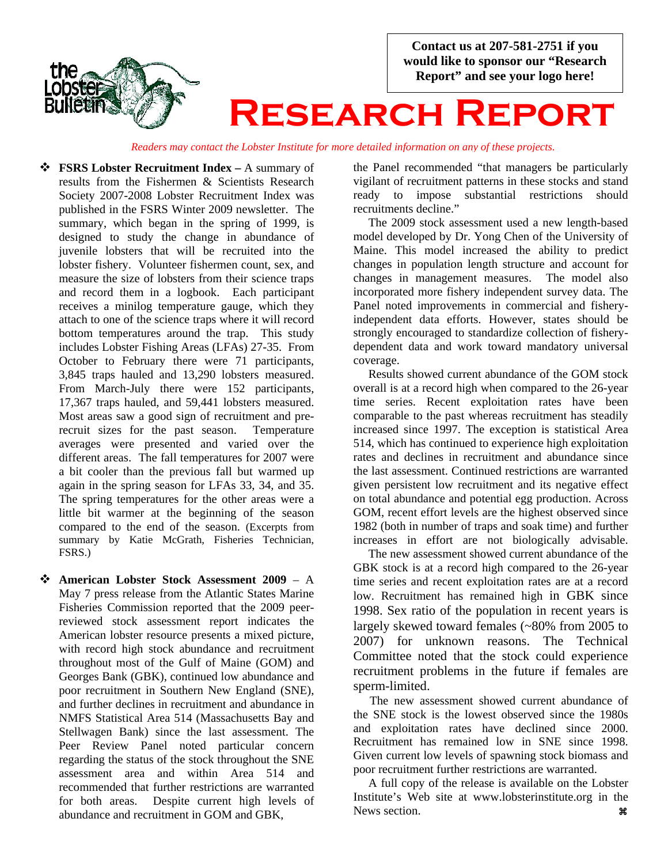**Contact us at 207-581-2751 if you would like to sponsor our "Research Report" and see your logo here!** 



# **Research Report**

*Readers may contact the Lobster Institute for more detailed information on any of these projects.*

- **FSRS Lobster Recruitment Index** A summary of results from the Fishermen & Scientists Research Society 2007-2008 Lobster Recruitment Index was published in the FSRS Winter 2009 newsletter. The summary, which began in the spring of 1999, is designed to study the change in abundance of juvenile lobsters that will be recruited into the lobster fishery. Volunteer fishermen count, sex, and measure the size of lobsters from their science traps and record them in a logbook. Each participant receives a minilog temperature gauge, which they attach to one of the science traps where it will record bottom temperatures around the trap. This study includes Lobster Fishing Areas (LFAs) 27-35. From October to February there were 71 participants, 3,845 traps hauled and 13,290 lobsters measured. From March-July there were 152 participants, 17,367 traps hauled, and 59,441 lobsters measured. Most areas saw a good sign of recruitment and prerecruit sizes for the past season. Temperature averages were presented and varied over the different areas. The fall temperatures for 2007 were a bit cooler than the previous fall but warmed up again in the spring season for LFAs 33, 34, and 35. The spring temperatures for the other areas were a little bit warmer at the beginning of the season compared to the end of the season. (Excerpts from summary by Katie McGrath, Fisheries Technician, FSRS.)
- **American Lobster Stock Assessment 2009** A May 7 press release from the Atlantic States Marine Fisheries Commission reported that the 2009 peerreviewed stock assessment report indicates the American lobster resource presents a mixed picture, with record high stock abundance and recruitment throughout most of the Gulf of Maine (GOM) and Georges Bank (GBK), continued low abundance and poor recruitment in Southern New England (SNE), and further declines in recruitment and abundance in NMFS Statistical Area 514 (Massachusetts Bay and Stellwagen Bank) since the last assessment. The Peer Review Panel noted particular concern regarding the status of the stock throughout the SNE assessment area and within Area 514 and recommended that further restrictions are warranted for both areas. Despite current high levels of abundance and recruitment in GOM and GBK,

the Panel recommended "that managers be particularly vigilant of recruitment patterns in these stocks and stand ready to impose substantial restrictions should recruitments decline."

 The 2009 stock assessment used a new length-based model developed by Dr. Yong Chen of the University of Maine. This model increased the ability to predict changes in population length structure and account for changes in management measures. The model also incorporated more fishery independent survey data. The Panel noted improvements in commercial and fisheryindependent data efforts. However, states should be strongly encouraged to standardize collection of fisherydependent data and work toward mandatory universal coverage.

 Results showed current abundance of the GOM stock overall is at a record high when compared to the 26-year time series. Recent exploitation rates have been comparable to the past whereas recruitment has steadily increased since 1997. The exception is statistical Area 514, which has continued to experience high exploitation rates and declines in recruitment and abundance since the last assessment. Continued restrictions are warranted given persistent low recruitment and its negative effect on total abundance and potential egg production. Across GOM, recent effort levels are the highest observed since 1982 (both in number of traps and soak time) and further increases in effort are not biologically advisable.

 The new assessment showed current abundance of the GBK stock is at a record high compared to the 26-year time series and recent exploitation rates are at a record low. Recruitment has remained high in GBK since 1998. Sex ratio of the population in recent years is largely skewed toward females (~80% from 2005 to 2007) for unknown reasons. The Technical Committee noted that the stock could experience recruitment problems in the future if females are sperm-limited.

 The new assessment showed current abundance of the SNE stock is the lowest observed since the 1980s and exploitation rates have declined since 2000. Recruitment has remained low in SNE since 1998. Given current low levels of spawning stock biomass and poor recruitment further restrictions are warranted.

 A full copy of the release is available on the Lobster Institute's Web site at www.lobsterinstitute.org in the News section.